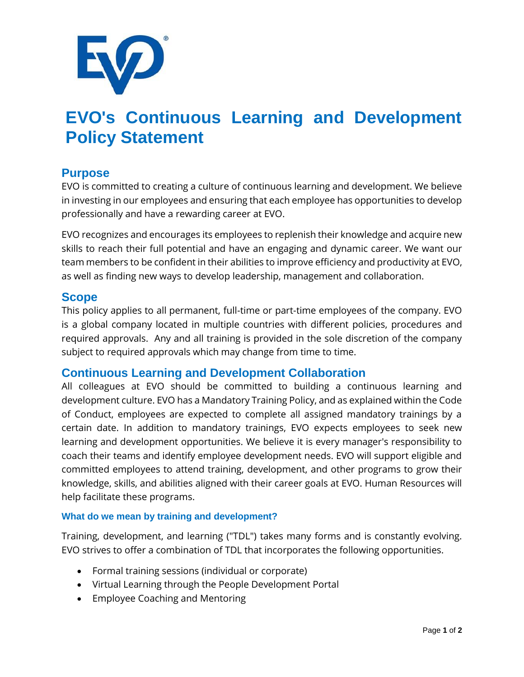

# **EVO's Continuous Learning and Development Policy Statement**

# **Purpose**

EVO is committed to creating a culture of continuous learning and development. We believe in investing in our employees and ensuring that each employee has opportunities to develop professionally and have a rewarding career at EVO.

EVO recognizes and encourages its employees to replenish their knowledge and acquire new skills to reach their full potential and have an engaging and dynamic career. We want our team members to be confident in their abilities to improve efficiency and productivity at EVO, as well as finding new ways to develop leadership, management and collaboration.

## **Scope**

This policy applies to all permanent, full-time or part-time employees of the company. EVO is a global company located in multiple countries with different policies, procedures and required approvals. Any and all training is provided in the sole discretion of the company subject to required approvals which may change from time to time.

## **Continuous Learning and Development Collaboration**

All colleagues at EVO should be committed to building a continuous learning and development culture. EVO has a Mandatory Training Policy, and as explained within the Code of Conduct, employees are expected to complete all assigned mandatory trainings by a certain date. In addition to mandatory trainings, EVO expects employees to seek new learning and development opportunities. We believe it is every manager's responsibility to coach their teams and identify employee development needs. EVO will support eligible and committed employees to attend training, development, and other programs to grow their knowledge, skills, and abilities aligned with their career goals at EVO. Human Resources will help facilitate these programs.

#### **What do we mean by training and development?**

Training, development, and learning ("TDL") takes many forms and is constantly evolving. EVO strives to offer a combination of TDL that incorporates the following opportunities.

- Formal training sessions (individual or corporate)
- Virtual Learning through the People Development Portal
- Employee Coaching and Mentoring